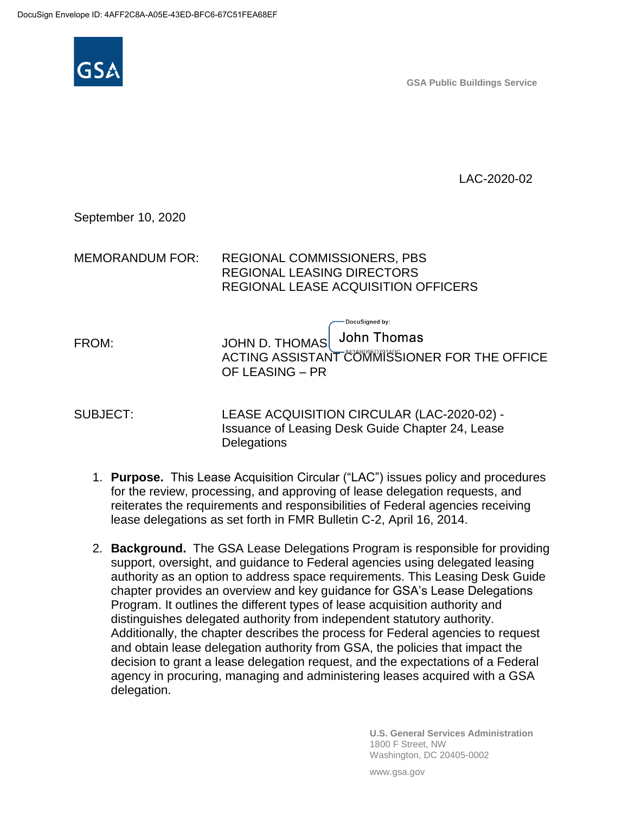

**GSA Public Buildings Service**

LAC-2020-02

#### September 10, 2020

| MEMORANDUM FOR: | <b>REGIONAL COMMISSIONERS, PBS</b>  |
|-----------------|-------------------------------------|
|                 | REGIONAL LEASING DIRECTORS          |
|                 | REGIONAL LEASE ACQUISITION OFFICERS |

OF LEASING – PR

FROM: JOHN D. THOMAS

SUBJECT: LEASE ACQUISITION CIRCULAR (LAC-2020-02) - Issuance of Leasing Desk Guide Chapter 24, Lease **Delegations** 

-DocuSianed by:

ACTING ASSISTANT COMMISSIONER FOR THE OFFICE

**John Thomas** 

- 1. **Purpose.** This Lease Acquisition Circular ("LAC") issues policy and procedures for the review, processing, and approving of lease delegation requests, and reiterates the requirements and responsibilities of Federal agencies receiving lease delegations as set forth in FMR Bulletin C-2, April 16, 2014.
- 2. **Background.** The GSA Lease Delegations Program is responsible for providing support, oversight, and guidance to Federal agencies using delegated leasing authority as an option to address space requirements. This Leasing Desk Guide chapter provides an overview and key guidance for GSA's Lease Delegations Program. It outlines the different types of lease acquisition authority and distinguishes delegated authority from independent statutory authority. Additionally, the chapter describes the process for Federal agencies to request and obtain lease delegation authority from GSA, the policies that impact the decision to grant a lease delegation request, and the expectations of a Federal agency in procuring, managing and administering leases acquired with a GSA delegation.

**U.S. General Services Administration** 1800 F Street, NW Washington, DC 20405-0002

www.gsa.gov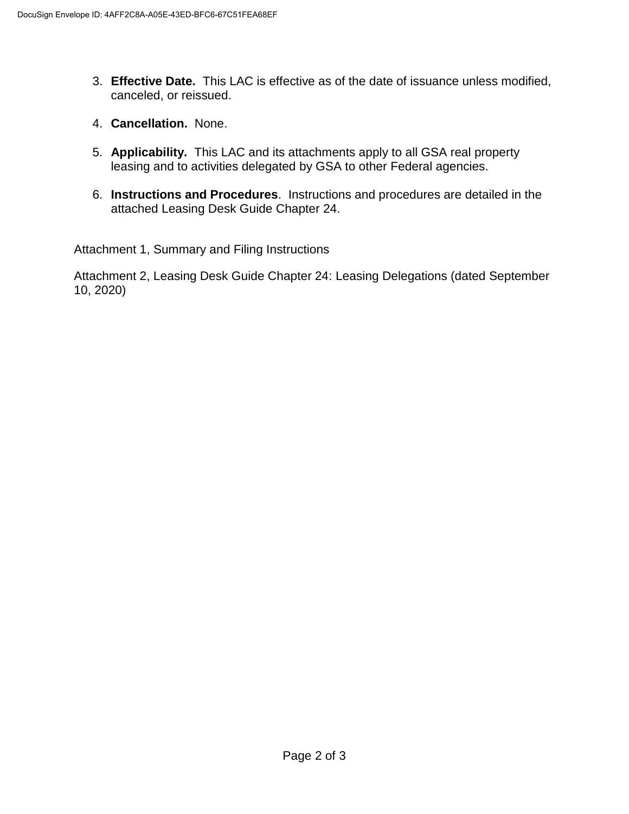- 3. **Effective Date.** This LAC is effective as of the date of issuance unless modified, canceled, or reissued.
- 4. **Cancellation.** None.
- 5. **Applicability.** This LAC and its attachments apply to all GSA real property leasing and to activities delegated by GSA to other Federal agencies.
- 6. **Instructions and Procedures**. Instructions and procedures are detailed in the attached Leasing Desk Guide Chapter 24.

Attachment 1, Summary and Filing Instructions

Attachment 2, Leasing Desk Guide Chapter 24: Leasing Delegations (dated September 10, 2020)